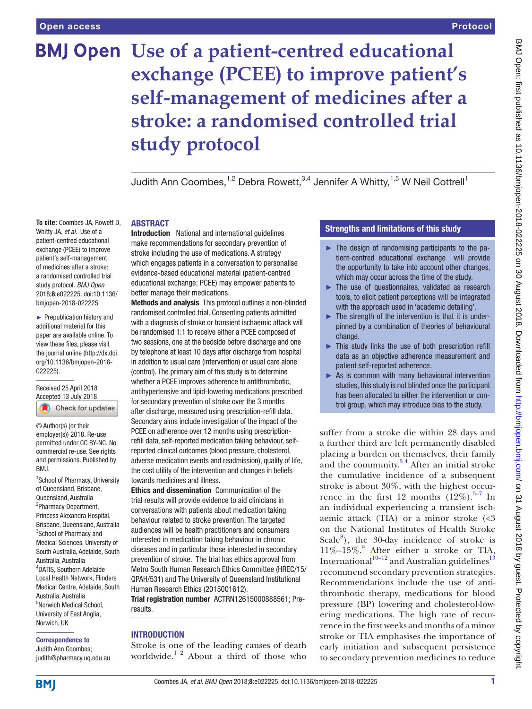# **BMJ Open** Use of a patient-centred educational **exchange (PCEE) to improve patient's self-management of medicines after a stroke: a randomised controlled trial study protocol**

Judith Ann Coombes,<sup>1,2</sup> Debra Rowett,<sup>3,4</sup> Jennifer A Whitty,<sup>1,5</sup> W Neil Cottrell<sup>1</sup>

#### **To cite:** Coombes JA, Rowett D, Whitty JA, *et al*. Use of a patient-centred educational exchange (PCEE) to improve patient's self-management of medicines after a stroke: a randomised controlled trial study protocol. *BMJ Open* 2018;8:e022225. doi:10.1136/ bmjopen-2018-022225

► Prepublication history and additional material for this paper are available online. To view these files, please visit the journal online [\(http://dx.doi.](http://dx.doi.org/10.1136/bmjopen-2018-022225) [org/10.1136/bmjopen-2018-](http://dx.doi.org/10.1136/bmjopen-2018-022225) [022225\)](http://dx.doi.org/10.1136/bmjopen-2018-022225).

#### Received 25 April 2018 [Accepted 13 July 2018](http://crossmark.crossref.org/dialog/?doi=10.1136/bmjopen-2018-022225&domain=pdf&date_stamp=2018-08-30) Check for updates

© Author(s) (or their employer(s)) 2018. Re-use permitted under CC BY-NC. No commercial re-use. See rights and permissions. Published by BMJ.

1 School of Pharmacy, University of Queensland, Brisbane, Queensland, Australia <sup>2</sup>Pharmacy Department, Princess Alexandra Hospital Brisbane, Queensland, Australia <sup>3</sup>School of Pharmacy and Medical Sciences, University of South Australia, Adelaide, South Australia, Australia 4 DATIS, Southern Adelaide Local Health Network, Flinders Medical Centre, Adelaide, South Australia, Australia 5 Norwich Medical School, University of East Anglia, Norwich, UK

#### Correspondence to

Judith Ann Coombes; judith@pharmacy.uq.edu.au

#### **ABSTRACT**

Introduction National and international guidelines make recommendations for secondary prevention of stroke including the use of medications. A strategy which engages patients in a conversation to personalise evidence-based educational material (patient-centred educational exchange; PCEE) may empower patients to better manage their medications.

Methods and analysis This protocol outlines a non-blinded randomised controlled trial. Consenting patients admitted with a diagnosis of stroke or transient ischaemic attack will be randomised 1:1 to receive either a PCEE composed of two sessions, one at the bedside before discharge and one by telephone at least 10 days after discharge from hospital in addition to usual care (intervention) or usual care alone (control). The primary aim of this study is to determine whether a PCEE improves adherence to antithrombotic, antihypertensive and lipid-lowering medications prescribed for secondary prevention of stroke over the 3 months after discharge, measured using prescription-refill data. Secondary aims include investigation of the impact of the PCEE on adherence over 12 months using prescriptionrefill data, self-reported medication taking behaviour, selfreported clinical outcomes (blood pressure, cholesterol, adverse medication events and readmission), quality of life, the cost utility of the intervention and changes in beliefs towards medicines and illness.

Ethics and dissemination Communication of the trial results will provide evidence to aid clinicians in conversations with patients about medication taking behaviour related to stroke prevention. The targeted audiences will be health practitioners and consumers interested in medication taking behaviour in chronic diseases and in particular those interested in secondary prevention of stroke. The trial has ethics approval from Metro South Human Research Ethics Committee (HREC/15/ QPAH/531) and The University of Queensland Institutional Human Research Ethics (2015001612).

Trial registration number ACTRN12615000888561; Preresults.

# **INTRODUCTION**

Stroke is one of the leading causes of death worldwide. $12$  About a third of those who

### Strengths and limitations of this study

- $\blacktriangleright$  The design of randomising participants to the patient-centred educational exchange will provide the opportunity to take into account other changes, which may occur across the time of the study.
- ► The use of questionnaires, validated as research tools, to elicit patient perceptions will be integrated with the approach used in 'academic detailing'.
- $\blacktriangleright$  The strength of the intervention is that it is underpinned by a combination of theories of behavioural change.
- ► This study links the use of both prescription refill data as an objective adherence measurement and patient self-reported adherence.
- $\triangleright$  As is common with many behavioural intervention studies, this study is not blinded once the participant has been allocated to either the intervention or control group, which may introduce bias to the study.

suffer from a stroke die within 28 days and a further third are left permanently disabled placing a burden on themselves, their family and the community. $3<sup>4</sup>$  After an initial stroke the cumulative incidence of a subsequent stroke is about 30%, with the highest occurrence in the first 12 months  $(12\%)$ .<sup>5–7</sup> In an individual experiencing a transient ischaemic attack (TIA) or a minor stroke (<3 on the National Institutes of Health Stroke Scale ${}^{8}$  ${}^{8}$  ${}^{8}$ ), the 30-day incidence of stroke is  $11\%$ – $15\%$ . After either a stroke or TIA, International<sup>[10–12](#page-7-5)</sup> and Australian guidelines<sup>[13](#page-7-6)</sup> recommend secondary prevention strategies. Recommendations include the use of antithrombotic therapy, medications for blood pressure (BP) lowering and cholesterol-lowering medications. The high rate of recurrence in the first weeks and months of a minor stroke or TIA emphasises the importance of early initiation and subsequent persistence to secondary prevention medicines to reduce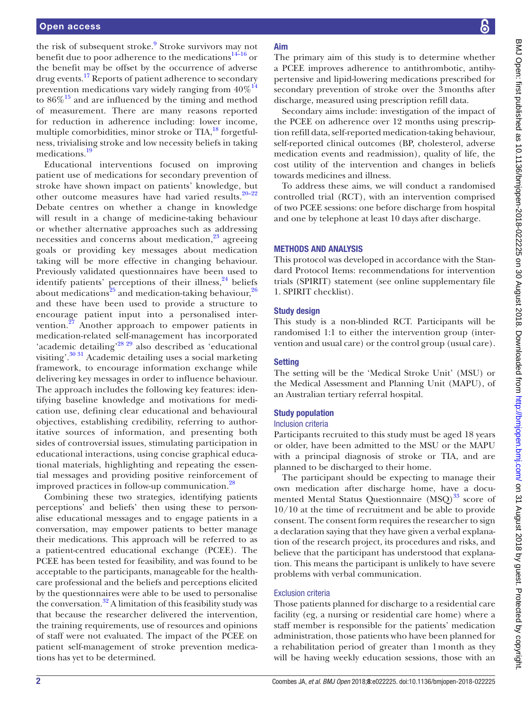the risk of subsequent stroke.<sup>[9](#page-7-4)</sup> Stroke survivors may not benefit due to poor adherence to the medications<sup>14-16</sup> or the benefit may be offset by the occurrence of adverse drug events.<sup>17</sup> Reports of patient adherence to secondary prevention medications vary widely ranging from  $40\%$ <sup>[14](#page-7-7)</sup> to  $86\%$ <sup>[15](#page-7-9)</sup> and are influenced by the timing and method of measurement. There are many reasons reported for reduction in adherence including: lower income, multiple comorbidities, minor stroke or  $TIA$ ,<sup>18</sup> forgetfulness, trivialising stroke and low necessity beliefs in taking medications.<sup>[19](#page-7-11)</sup>

Educational interventions focused on improving patient use of medications for secondary prevention of stroke have shown impact on patients' knowledge, but other outcome measures have had varied results.<sup>[20–22](#page-7-12)</sup> Debate centres on whether a change in knowledge will result in a change of medicine-taking behaviour or whether alternative approaches such as addressing necessities and concerns about medication, $^{23}$  agreeing goals or providing key messages about medication taking will be more effective in changing behaviour. Previously validated questionnaires have been used to identify patients' perceptions of their illness, $^{24}$  $^{24}$  $^{24}$  beliefs about medications $^{25}$  and medication-taking behaviour,  $^{26}$ and these have been used to provide a structure to encourage patient input into a personalised intervention.<sup>27</sup> Another approach to empower patients in medication-related self-management has incorporated 'academic detailing'[28 29](#page-7-18) also described as 'educational visiting'.[30 31](#page-7-19) Academic detailing uses a social marketing framework, to encourage information exchange while delivering key messages in order to influence behaviour. The approach includes the following key features: identifying baseline knowledge and motivations for medication use, defining clear educational and behavioural objectives, establishing credibility, referring to authoritative sources of information, and presenting both sides of controversial issues, stimulating participation in educational interactions, using concise graphical educational materials, highlighting and repeating the essential messages and providing positive reinforcement of improved practices in follow-up communication.<sup>[28](#page-7-18)</sup>

Combining these two strategies, identifying patients perceptions' and beliefs' then using these to personalise educational messages and to engage patients in a conversation, may empower patients to better manage their medications. This approach will be referred to as a patient-centred educational exchange (PCEE). The PCEE has been tested for feasibility, and was found to be acceptable to the participants, manageable for the healthcare professional and the beliefs and perceptions elicited by the questionnaires were able to be used to personalise the conversation.<sup>32</sup> A limitation of this feasibility study was that because the researcher delivered the intervention, the training requirements, use of resources and opinions of staff were not evaluated. The impact of the PCEE on patient self-management of stroke prevention medications has yet to be determined.

# Aim

The primary aim of this study is to determine whether a PCEE improves adherence to antithrombotic, antihypertensive and lipid-lowering medications prescribed for secondary prevention of stroke over the 3months after discharge, measured using prescription refill data.

Secondary aims include: investigation of the impact of the PCEE on adherence over 12 months using prescription refill data, self-reported medication-taking behaviour, self-reported clinical outcomes (BP, cholesterol, adverse medication events and readmission), quality of life, the cost utility of the intervention and changes in beliefs towards medicines and illness.

To address these aims, we will conduct a randomised controlled trial (RCT), with an intervention comprised of two PCEE sessions: one before discharge from hospital and one by telephone at least 10 days after discharge.

#### Methods and analysis

This protocol was developed in accordance with the Standard Protocol Items: recommendations for intervention trials (SPIRIT) statement (see online [supplementary file](https://dx.doi.org/10.1136/bmjopen-2018-022225)  [1](https://dx.doi.org/10.1136/bmjopen-2018-022225). SPIRIT checklist).

#### Study design

This study is a non-blinded RCT. Participants will be randomised 1:1 to either the intervention group (intervention and usual care) or the control group (usual care).

#### **Setting**

The setting will be the 'Medical Stroke Unit' (MSU) or the Medical Assessment and Planning Unit (MAPU), of an Australian tertiary referral hospital.

#### Study population

#### Inclusion criteria

Participants recruited to this study must be aged 18 years or older, have been admitted to the MSU or the MAPU with a principal diagnosis of stroke or TIA, and are planned to be discharged to their home.

The participant should be expecting to manage their own medication after discharge home, have a documented Mental Status Questionnaire  $(MSQ)^{33}$  score of 10/10 at the time of recruitment and be able to provide consent. The consent form requires the researcher to sign a declaration saying that they have given a verbal explanation of the research project, its procedures and risks, and believe that the participant has understood that explanation. This means the participant is unlikely to have severe problems with verbal communication.

### Exclusion criteria

Those patients planned for discharge to a residential care facility (eg, a nursing or residential care home) where a staff member is responsible for the patients' medication administration, those patients who have been planned for a rehabilitation period of greater than 1month as they will be having weekly education sessions, those with an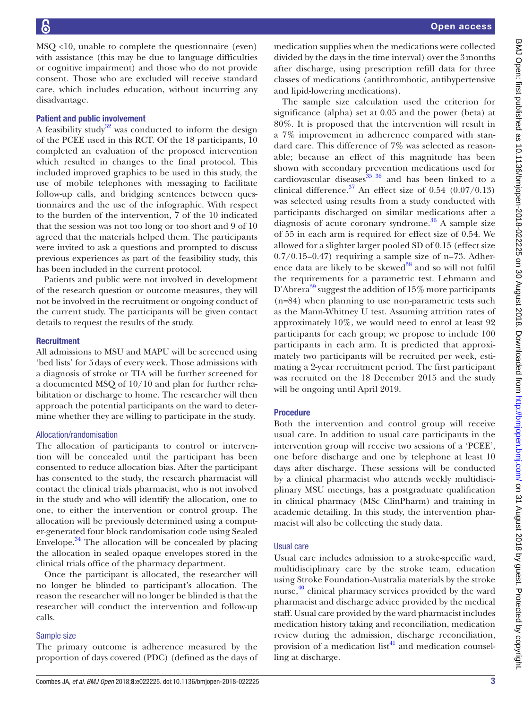MSQ <10, unable to complete the questionnaire (even) with assistance (this may be due to language difficulties or cognitive impairment) and those who do not provide consent. Those who are excluded will receive standard care, which includes education, without incurring any disadvantage.

## Patient and public involvement

A feasibility study<sup>[32](#page-7-20)</sup> was conducted to inform the design of the PCEE used in this RCT. Of the 18 participants, 10 completed an evaluation of the proposed intervention which resulted in changes to the final protocol. This included improved graphics to be used in this study, the use of mobile telephones with messaging to facilitate follow-up calls, and bridging sentences between questionnaires and the use of the infographic. With respect to the burden of the intervention, 7 of the 10 indicated that the session was not too long or too short and 9 of 10 agreed that the materials helped them. The participants were invited to ask a questions and prompted to discuss previous experiences as part of the feasibility study, this has been included in the current protocol.

Patients and public were not involved in development of the research question or outcome measures, they will not be involved in the recruitment or ongoing conduct of the current study. The participants will be given contact details to request the results of the study.

### **Recruitment**

All admissions to MSU and MAPU will be screened using 'bed lists' for 5days of every week. Those admissions with a diagnosis of stroke or TIA will be further screened for a documented MSQ of 10/10 and plan for further rehabilitation or discharge to home. The researcher will then approach the potential participants on the ward to determine whether they are willing to participate in the study.

#### Allocation/randomisation

The allocation of participants to control or intervention will be concealed until the participant has been consented to reduce allocation bias. After the participant has consented to the study, the research pharmacist will contact the clinical trials pharmacist, who is not involved in the study and who will identify the allocation, one to one, to either the intervention or control group. The allocation will be previously determined using a computer-generated four block randomisation code using Sealed Envelope. $34$  The allocation will be concealed by placing the allocation in sealed opaque envelopes stored in the clinical trials office of the pharmacy department.

Once the participant is allocated, the researcher will no longer be blinded to participant's allocation. The reason the researcher will no longer be blinded is that the researcher will conduct the intervention and follow-up calls.

# Sample size

The primary outcome is adherence measured by the proportion of days covered (PDC) (defined as the days of medication supplies when the medications were collected divided by the days in the time interval) over the 3months after discharge, using prescription refill data for three classes of medications (antithrombotic, antihypertensive and lipid-lowering medications).

The sample size calculation used the criterion for significance (alpha) set at 0.05 and the power (beta) at 80%. It is proposed that the intervention will result in a 7% improvement in adherence compared with standard care. This difference of 7% was selected as reasonable; because an effect of this magnitude has been shown with secondary prevention medications used for cardiovascular diseases $3536$  and has been linked to a clinical difference.<sup>[37](#page-8-0)</sup> An effect size of 0.54  $(0.07/0.13)$ was selected using results from a study conducted with participants discharged on similar medications after a diagnosis of acute coronary syndrome. $36$  A sample size of 55 in each arm is required for effect size of 0.54. We allowed for a slighter larger pooled SD of 0.15 (effect size  $0.7/0.15=0.47$ ) requiring a sample size of n=73. Adher-ence data are likely to be skewed<sup>[38](#page-8-1)</sup> and so will not fulfil the requirements for a parametric test. Lehmann and D'Abrera<sup>39</sup> suggest the addition of 15% more participants (n=84) when planning to use non-parametric tests such as the Mann-Whitney U test. Assuming attrition rates of approximately 10%, we would need to enrol at least 92 participants for each group; we propose to include 100 participants in each arm. It is predicted that approximately two participants will be recruited per week, estimating a 2-year recruitment period. The first participant was recruited on the 18 December 2015 and the study will be ongoing until April 2019.

# Procedure

Both the intervention and control group will receive usual care. In addition to usual care participants in the intervention group will receive two sessions of a 'PCEE', one before discharge and one by telephone at least 10 days after discharge. These sessions will be conducted by a clinical pharmacist who attends weekly multidisciplinary MSU meetings, has a postgraduate qualification in clinical pharmacy (MSc ClinPharm) and training in academic detailing. In this study, the intervention pharmacist will also be collecting the study data.

#### Usual care

Usual care includes admission to a stroke-specific ward, multidisciplinary care by the stroke team, education using Stroke Foundation-Australia materials by the stroke nurse,<sup>40</sup> clinical pharmacy services provided by the ward pharmacist and discharge advice provided by the medical staff. Usual care provided by the ward pharmacist includes medication history taking and reconciliation, medication review during the admission, discharge reconciliation, provision of a medication list<sup>41</sup> and medication counselling at discharge.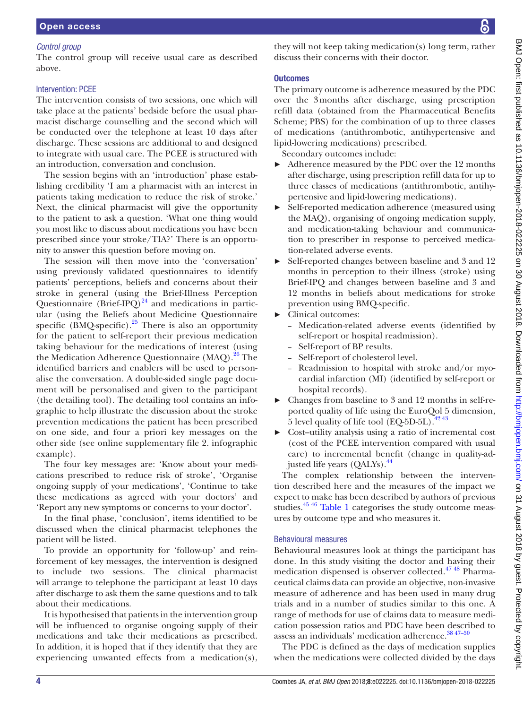# *Control group*

The control group will receive usual care as described above.

# Intervention: PCEE

The intervention consists of two sessions, one which will take place at the patients' bedside before the usual pharmacist discharge counselling and the second which will be conducted over the telephone at least 10 days after discharge. These sessions are additional to and designed to integrate with usual care. The PCEE is structured with an introduction, conversation and conclusion.

The session begins with an 'introduction' phase establishing credibility 'I am a pharmacist with an interest in patients taking medication to reduce the risk of stroke.' Next, the clinical pharmacist will give the opportunity to the patient to ask a question. 'What one thing would you most like to discuss about medications you have been prescribed since your stroke/TIA?' There is an opportunity to answer this question before moving on.

The session will then move into the 'conversation' using previously validated questionnaires to identify patients' perceptions, beliefs and concerns about their stroke in general (using the Brief-Illness Perception Questionnaire (Brief-IPQ) $^{24}$  $^{24}$  $^{24}$  and medications in particular (using the Beliefs about Medicine Questionnaire specific (BMQ-specific).<sup>[25](#page-7-15)</sup> There is also an opportunity for the patient to self-report their previous medication taking behaviour for the medications of interest (using the Medication Adherence Questionnaire (MAQ).<sup>[26](#page-7-16)</sup> The identified barriers and enablers will be used to personalise the conversation. A double-sided single page document will be personalised and given to the participant (the detailing tool). The detailing tool contains an infographic to help illustrate the discussion about the stroke prevention medications the patient has been prescribed on one side, and four a priori key messages on the other side (see online [supplementary file 2](https://dx.doi.org/10.1136/bmjopen-2018-022225). infographic example).

The four key messages are: 'Know about your medications prescribed to reduce risk of stroke', 'Organise ongoing supply of your medications', 'Continue to take these medications as agreed with your doctors' and 'Report any new symptoms or concerns to your doctor'.

In the final phase, 'conclusion', items identified to be discussed when the clinical pharmacist telephones the patient will be listed.

To provide an opportunity for 'follow-up' and reinforcement of key messages, the intervention is designed to include two sessions. The clinical pharmacist will arrange to telephone the participant at least 10 days after discharge to ask them the same questions and to talk about their medications.

It is hypothesised that patients in the intervention group will be influenced to organise ongoing supply of their medications and take their medications as prescribed. In addition, it is hoped that if they identify that they are experiencing unwanted effects from a medication(s),

they will not keep taking medication(s) long term, rather discuss their concerns with their doctor.

# **Outcomes**

The primary outcome is adherence measured by the PDC over the 3months after discharge, using prescription refill data (obtained from the Pharmaceutical Benefits Scheme; PBS) for the combination of up to three classes of medications (antithrombotic, antihypertensive and lipid-lowering medications) prescribed.

Secondary outcomes include:

- ► Adherence measured by the PDC over the 12 months after discharge, using prescription refill data for up to three classes of medications (antithrombotic, antihypertensive and lipid-lowering medications).
- Self-reported medication adherence (measured using the MAQ), organising of ongoing medication supply, and medication-taking behaviour and communication to prescriber in response to perceived medication-related adverse events.
- ► Self-reported changes between baseline and 3 and 12 months in perception to their illness (stroke) using Brief-IPQ and changes between baseline and 3 and 12 months in beliefs about medications for stroke prevention using BMQ-specific.
- ► Clinical outcomes:
	- Medication-related adverse events (identified by self-report or hospital readmission).
	- Self-report of BP results.
	- Self-report of cholesterol level.
	- Readmission to hospital with stroke and/or myocardial infarction (MI) (identified by self-report or hospital records).
- ► Changes from baseline to 3 and 12 months in self-reported quality of life using the EuroQol 5 dimension, 5 level quality of life tool (EQ-5D-5L)[.42 43](#page-8-5)
- ► Cost–utility analysis using a ratio of incremental cost (cost of the PCEE intervention compared with usual care) to incremental benefit (change in quality-ad-justed life years (QALYs).<sup>[44](#page-8-6)</sup>

The complex relationship between the intervention described here and the measures of the impact we expect to make has been described by authors of previous studies[.45 46](#page-8-7) [Table](#page-4-0) 1 categorises the study outcome measures by outcome type and who measures it.

# Behavioural measures

Behavioural measures look at things the participant has done. In this study visiting the doctor and having their medication dispensed is observer collected.[47 48](#page-8-8) Pharmaceutical claims data can provide an objective, non-invasive measure of adherence and has been used in many drug trials and in a number of studies similar to this one. A range of methods for use of claims data to measure medication possession ratios and PDC have been described to assess an individuals' medication adherence[.38 47–50](#page-8-1)

The PDC is defined as the days of medication supplies when the medications were collected divided by the days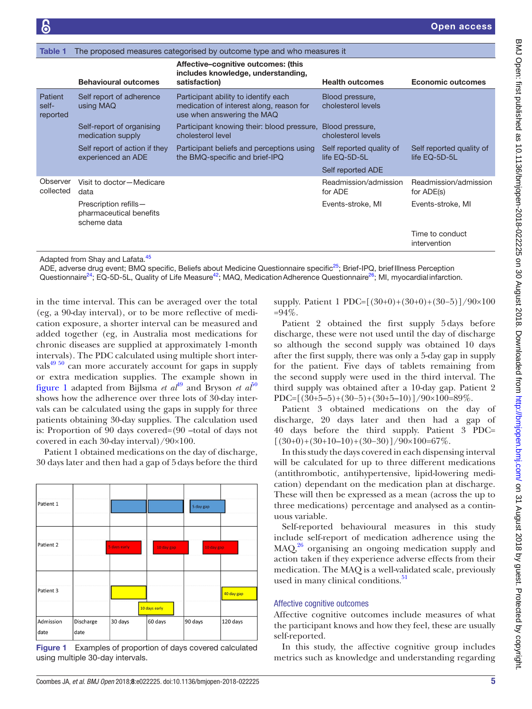<span id="page-4-0"></span>

|                              | $\frac{1}{2}$ and $\frac{1}{2}$ . The lands are added to a contact the second to the second model to the second contact to the second contact of the second second second second second second second second second second second sec |                                                                                                                |                                           |                                           |  |  |  |  |  |
|------------------------------|---------------------------------------------------------------------------------------------------------------------------------------------------------------------------------------------------------------------------------------|----------------------------------------------------------------------------------------------------------------|-------------------------------------------|-------------------------------------------|--|--|--|--|--|
|                              | <b>Behavioural outcomes</b>                                                                                                                                                                                                           | Affective-cognitive outcomes: (this<br>includes knowledge, understanding,<br>satisfaction)                     | <b>Health outcomes</b>                    | <b>Economic outcomes</b>                  |  |  |  |  |  |
| Patient<br>self-<br>reported | Self report of adherence<br>using MAQ                                                                                                                                                                                                 | Participant ability to identify each<br>medication of interest along, reason for<br>use when answering the MAQ | Blood pressure,<br>cholesterol levels     |                                           |  |  |  |  |  |
|                              | Self-report of organising<br>medication supply                                                                                                                                                                                        | Participant knowing their: blood pressure,<br>cholesterol level                                                | Blood pressure,<br>cholesterol levels     |                                           |  |  |  |  |  |
|                              | Self report of action if they<br>experienced an ADE                                                                                                                                                                                   | Participant beliefs and perceptions using<br>the BMQ-specific and brief-IPQ                                    | Self reported quality of<br>life EQ-5D-5L | Self reported quality of<br>life EQ-5D-5L |  |  |  |  |  |
|                              |                                                                                                                                                                                                                                       |                                                                                                                | Self reported ADE                         |                                           |  |  |  |  |  |
| Observer<br>collected        | Visit to doctor-Medicare<br>data                                                                                                                                                                                                      |                                                                                                                | Readmission/admission<br>for ADE          | Readmission/admission<br>for ADE(s)       |  |  |  |  |  |
|                              | Prescription refills-<br>pharmaceutical benefits<br>scheme data                                                                                                                                                                       |                                                                                                                | Events-stroke, MI                         | Events-stroke, MI                         |  |  |  |  |  |
|                              |                                                                                                                                                                                                                                       |                                                                                                                |                                           | Time to conduct<br>intervention           |  |  |  |  |  |

Table 1 The proposed measures categorised by outcome type and who measures it

Adapted from Shay and Lafata.<sup>45</sup>

ADE, adverse drug event; BMQ specific, Beliefs about Medicine Questionnaire specific<sup>25</sup>; Brief-IPQ, brief Illness Perception

Questionnaire<sup>24</sup>; EQ-5D-5L, Quality of Life Measure<sup>42</sup>; MAQ, Medication Adherence Questionnaire<sup>[26](#page-7-16)</sup>; MI, myocardial infarction.

in the time interval. This can be averaged over the total (eg, a 90-day interval), or to be more reflective of medication exposure, a shorter interval can be measured and added together (eg, in Australia most medications for chronic diseases are supplied at approximately 1-month intervals). The PDC calculated using multiple short inter $vals^{49\,50}$  can more accurately account for gaps in supply or extra medication supplies. The example shown in [figure](#page-4-1) 1 adapted from Bijlsma *et*  $a t^{49}$  and Bryson *et*  $a t^{50}$  $a t^{50}$  $a t^{50}$ shows how the adherence over three lots of 30-day intervals can be calculated using the gaps in supply for three patients obtaining 30-day supplies. The calculation used is: Proportion of 90 days covered=(90 –total of days not covered in each 30-day interval)/90×100.

Patient 1 obtained medications on the day of discharge, 30 days later and then had a gap of 5days before the third



<span id="page-4-1"></span>Figure 1 Examples of proportion of days covered calculated using multiple 30-day intervals.

supply. Patient 1 PDC=[(30+0)+(30+0)+(30−5)]/90×100  $=94\%$ .

Patient 2 obtained the first supply 5days before discharge, these were not used until the day of discharge so although the second supply was obtained 10 days after the first supply, there was only a 5-day gap in supply for the patient. Five days of tablets remaining from the second supply were used in the third interval. The third supply was obtained after a 10-day gap. Patient 2 PDC= $[(30+5-5)+(30-5)+(30+5-10)]/90\times100=89\%.$ 

Patient 3 obtained medications on the day of discharge, 20 days later and then had a gap of 40 days before the third supply. Patient 3 PDC=  $[(30+0)+(30+10-10)+(30-30)]/90\times100=67\%.$ 

In this study the days covered in each dispensing interval will be calculated for up to three different medications (antithrombotic, antihypertensive, lipid-lowering medication) dependant on the medication plan at discharge. These will then be expressed as a mean (across the up to three medications) percentage and analysed as a continuous variable.

Self-reported behavioural measures in this study include self-report of medication adherence using the  $MAQ<sup>26</sup>$  organising an ongoing medication supply and action taken if they experience adverse effects from their medication. The MAQ is a well-validated scale, previously used in many clinical conditions.<sup>[51](#page-8-11)</sup>

#### Affective cognitive outcomes

Affective cognitive outcomes include measures of what the participant knows and how they feel, these are usually self-reported.

In this study, the affective cognitive group includes metrics such as knowledge and understanding regarding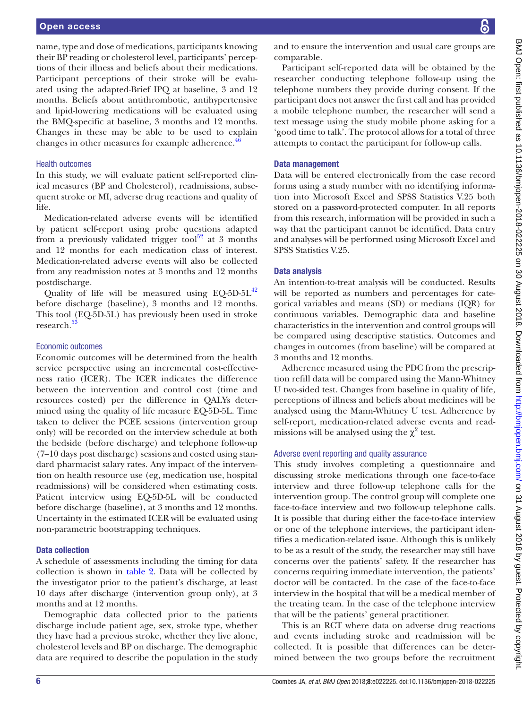name, type and dose of medications, participants knowing their BP reading or cholesterol level, participants' perceptions of their illness and beliefs about their medications. Participant perceptions of their stroke will be evaluated using the adapted-Brief IPQ at baseline, 3 and 12 months. Beliefs about antithrombotic, antihypertensive and lipid-lowering medications will be evaluated using the BMQ-specific at baseline, 3 months and 12 months. Changes in these may be able to be used to explain changes in other measures for example adherence.<sup>4</sup>

#### Health outcomes

In this study, we will evaluate patient self-reported clinical measures (BP and Cholesterol), readmissions, subsequent stroke or MI, adverse drug reactions and quality of life.

Medication-related adverse events will be identified by patient self-report using probe questions adapted from a previously validated trigger tool<sup>52</sup> at 3 months and 12 months for each medication class of interest. Medication-related adverse events will also be collected from any readmission notes at 3 months and 12 months postdischarge.

Quality of life will be measured using  $EQ-5D-5L<sup>42</sup>$ before discharge (baseline), 3 months and 12 months. This tool (EQ-5D-5L) has previously been used in stroke research.<sup>[53](#page-8-14)</sup>

### Economic outcomes

Economic outcomes will be determined from the health service perspective using an incremental cost-effectiveness ratio (ICER). The ICER indicates the difference between the intervention and control cost (time and resources costed) per the difference in QALYs determined using the quality of life measure EQ-5D-5L. Time taken to deliver the PCEE sessions (intervention group only) will be recorded on the interview schedule at both the bedside (before discharge) and telephone follow-up (7–10 days post discharge) sessions and costed using standard pharmacist salary rates. Any impact of the intervention on health resource use (eg, medication use, hospital readmissions) will be considered when estimating costs. Patient interview using EQ-5D-5L will be conducted before discharge (baseline), at 3 months and 12 months. Uncertainty in the estimated ICER will be evaluated using non-parametric bootstrapping techniques.

# Data collection

A schedule of assessments including the timing for data collection is shown in [table](#page-6-0) 2. Data will be collected by the investigator prior to the patient's discharge, at least 10 days after discharge (intervention group only), at 3 months and at 12 months.

Demographic data collected prior to the patients discharge include patient age, sex, stroke type, whether they have had a previous stroke, whether they live alone, cholesterol levels and BP on discharge. The demographic data are required to describe the population in the study

and to ensure the intervention and usual care groups are comparable.

Participant self-reported data will be obtained by the researcher conducting telephone follow-up using the telephone numbers they provide during consent. If the participant does not answer the first call and has provided a mobile telephone number, the researcher will send a text message using the study mobile phone asking for a 'good time to talk'. The protocol allows for a total of three attempts to contact the participant for follow-up calls.

# Data management

Data will be entered electronically from the case record forms using a study number with no identifying information into Microsoft Excel and SPSS Statistics V.25 both stored on a password-protected computer. In all reports from this research, information will be provided in such a way that the participant cannot be identified. Data entry and analyses will be performed using Microsoft Excel and SPSS Statistics V.25.

### Data analysis

An intention-to-treat analysis will be conducted. Results will be reported as numbers and percentages for categorical variables and means (SD) or medians (IQR) for continuous variables. Demographic data and baseline characteristics in the intervention and control groups will be compared using descriptive statistics. Outcomes and changes in outcomes (from baseline) will be compared at 3 months and 12 months.

Adherence measured using the PDC from the prescription refill data will be compared using the Mann-Whitney U two-sided test. Changes from baseline in quality of life, perceptions of illness and beliefs about medicines will be analysed using the Mann-Whitney U test. Adherence by self-report, medication-related adverse events and readmissions will be analysed using the  $\chi^2$  test.

#### Adverse event reporting and quality assurance

This study involves completing a questionnaire and discussing stroke medications through one face-to-face interview and three follow-up telephone calls for the intervention group. The control group will complete one face-to-face interview and two follow-up telephone calls. It is possible that during either the face-to-face interview or one of the telephone interviews, the participant identifies a medication-related issue. Although this is unlikely to be as a result of the study, the researcher may still have concerns over the patients' safety. If the researcher has concerns requiring immediate intervention, the patients' doctor will be contacted. In the case of the face-to-face interview in the hospital that will be a medical member of the treating team. In the case of the telephone interview that will be the patients' general practitioner.

This is an RCT where data on adverse drug reactions and events including stroke and readmission will be collected. It is possible that differences can be determined between the two groups before the recruitment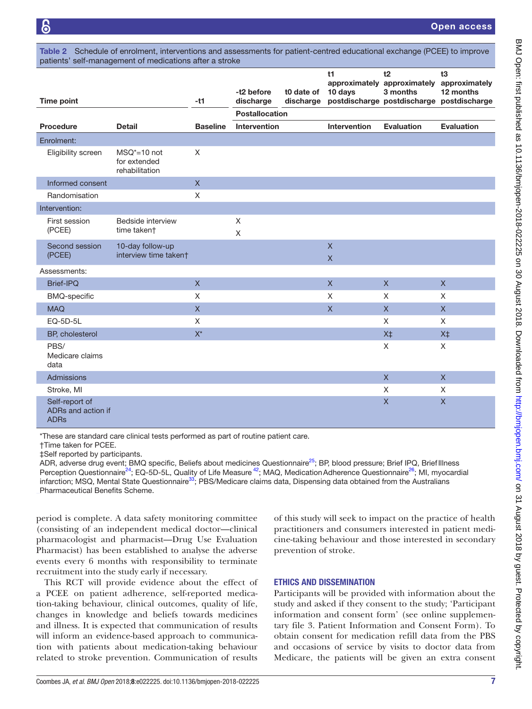Open access

<span id="page-6-0"></span>

| Table 2 Schedule of enrolment, interventions and assessments for patient-centred educational exchange (PCEE) to improve<br>patients' self-management of medications after a stroke |                                                                              |                    |                         |                         |                              |                                                                                                          |                         |  |  |
|------------------------------------------------------------------------------------------------------------------------------------------------------------------------------------|------------------------------------------------------------------------------|--------------------|-------------------------|-------------------------|------------------------------|----------------------------------------------------------------------------------------------------------|-------------------------|--|--|
| Time point                                                                                                                                                                         |                                                                              | -t1                | -t2 before<br>discharge | t0 date of<br>discharge | t1<br>10 days                | t2<br>approximately approximately approximately<br>3 months<br>postdischarge postdischarge postdischarge | t3<br>12 months         |  |  |
|                                                                                                                                                                                    |                                                                              |                    | <b>Postallocation</b>   |                         |                              |                                                                                                          |                         |  |  |
| <b>Procedure</b>                                                                                                                                                                   | <b>Detail</b>                                                                | <b>Baseline</b>    | Intervention            |                         | <b>Intervention</b>          | <b>Evaluation</b>                                                                                        | <b>Evaluation</b>       |  |  |
| Enrolment:                                                                                                                                                                         |                                                                              |                    |                         |                         |                              |                                                                                                          |                         |  |  |
| Eligibility screen                                                                                                                                                                 | $MSQ^* = 10$ not<br>for extended<br>rehabilitation                           | X                  |                         |                         |                              |                                                                                                          |                         |  |  |
| Informed consent                                                                                                                                                                   |                                                                              | $\mathsf X$        |                         |                         |                              |                                                                                                          |                         |  |  |
| Randomisation                                                                                                                                                                      |                                                                              | X                  |                         |                         |                              |                                                                                                          |                         |  |  |
| Intervention:                                                                                                                                                                      |                                                                              |                    |                         |                         |                              |                                                                                                          |                         |  |  |
| First session<br>(PCEE)                                                                                                                                                            | Bedside interview<br>time taken†                                             |                    | X<br>X                  |                         |                              |                                                                                                          |                         |  |  |
| Second session<br>(PCEE)                                                                                                                                                           | 10-day follow-up<br>interview time taken†                                    |                    |                         |                         | $\mathsf{X}$<br>$\mathsf{X}$ |                                                                                                          |                         |  |  |
| Assessments:                                                                                                                                                                       |                                                                              |                    |                         |                         |                              |                                                                                                          |                         |  |  |
| <b>Brief-IPQ</b>                                                                                                                                                                   |                                                                              | $\mathsf{X}$       |                         |                         | $\overline{\mathsf{X}}$      | $\mathsf{X}$                                                                                             | $\overline{\mathsf{X}}$ |  |  |
| <b>BMQ-specific</b>                                                                                                                                                                |                                                                              | X                  |                         |                         | X                            | X                                                                                                        | X                       |  |  |
| <b>MAQ</b>                                                                                                                                                                         |                                                                              | $\mathsf{X}$       |                         |                         | $\overline{X}$               | $\mathsf{X}$                                                                                             | $\overline{\mathsf{X}}$ |  |  |
| EQ-5D-5L                                                                                                                                                                           |                                                                              | $\mathsf X$        |                         |                         |                              | X                                                                                                        | $\mathsf X$             |  |  |
| BP, cholesterol                                                                                                                                                                    |                                                                              | $\mathsf{X}^\star$ |                         |                         |                              | $X+$                                                                                                     | X‡                      |  |  |
| PBS/<br>Medicare claims<br>data                                                                                                                                                    |                                                                              |                    |                         |                         |                              | $\mathsf X$                                                                                              | X                       |  |  |
| <b>Admissions</b>                                                                                                                                                                  |                                                                              |                    |                         |                         |                              | $\mathsf{X}$                                                                                             | $\mathsf{X}$            |  |  |
| Stroke, MI                                                                                                                                                                         |                                                                              |                    |                         |                         |                              | X                                                                                                        | $\mathsf X$             |  |  |
| Self-report of<br>ADRs and action if<br><b>ADRs</b>                                                                                                                                |                                                                              |                    |                         |                         |                              | $\mathsf{X}$                                                                                             | $\overline{\mathsf{X}}$ |  |  |
|                                                                                                                                                                                    | *These are standard cars olinical tests parformed as part of routing patient |                    |                         |                         |                              |                                                                                                          |                         |  |  |

These are standard care clinical tests performed as part ot routine patient care.

†Time taken for PCEE.

‡Self reported by participants.

ADR, adverse drug event; BMQ specific, Beliefs about medicines Questionnaire<sup>25</sup>; BP, blood pressure; Brief IPQ, Brief Illness Perception Questionnaire<sup>24</sup>; EQ-5D-5L, Quality of Life Measure <sup>42</sup>; MAQ, Medication Adherence Questionnaire<sup>[26](#page-7-16)</sup>; MI, myocardial infarction; MSQ, Mental State Questionnaire<sup>33</sup>; PBS/Medicare claims data, Dispensing data obtained from the Australians Pharmaceutical Benefits Scheme.

period is complete. A data safety monitoring committee (consisting of an independent medical doctor—clinical pharmacologist and pharmacist—Drug Use Evaluation Pharmacist) has been established to analyse the adverse events every 6 months with responsibility to terminate recruitment into the study early if necessary.

This RCT will provide evidence about the effect of a PCEE on patient adherence, self-reported medication-taking behaviour, clinical outcomes, quality of life, changes in knowledge and beliefs towards medicines and illness. It is expected that communication of results will inform an evidence-based approach to communication with patients about medication-taking behaviour related to stroke prevention. Communication of results

of this study will seek to impact on the practice of health practitioners and consumers interested in patient medicine-taking behaviour and those interested in secondary prevention of stroke.

#### Ethics and dissemination

Participants will be provided with information about the study and asked if they consent to the study; 'Participant information and consent form' (see online [supplemen](https://dx.doi.org/10.1136/bmjopen-2018-022225)[tary file 3](https://dx.doi.org/10.1136/bmjopen-2018-022225). Patient Information and Consent Form). To obtain consent for medication refill data from the PBS and occasions of service by visits to doctor data from Medicare, the patients will be given an extra consent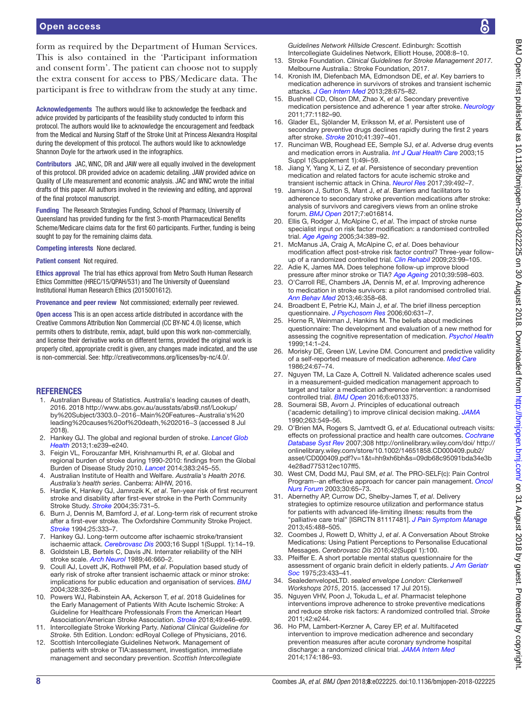form as required by the Department of Human Services. This is also contained in the 'Participant information and consent form'. The patient can choose not to supply the extra consent for access to PBS/Medicare data. The participant is free to withdraw from the study at any time.

Acknowledgements The authors would like to acknowledge the feedback and advice provided by participants of the feasibility study conducted to inform this protocol. The authors would like to acknowledge the encouragement and feedback from the Medical and Nursing Staff of the Stroke Unit at Princess Alexandra Hospital during the development of this protocol. The authors would like to acknowledge Shannon Doyle for the artwork used in the infographics.

Contributors JAC, WNC, DR and JAW were all equally involved in the development of this protocol. DR provided advice on academic detailing. JAW provided advice on Quality of Life measurement and economic analysis. JAC and WNC wrote the initial drafts of this paper. All authors involved in the reviewing and editing, and approval of the final protocol manuscript.

Funding The Research Strategies Funding, School of Pharmacy, University of Queensland has provided funding for the first 3-month Pharmaceutical Benefits Scheme/Medicare claims data for the first 60 participants. Further, funding is being sought to pay for the remaining claims data.

Competing interests None declared.

#### Patient consent Not required.

Ethics approval The trial has ethics approval from Metro South Human Research Ethics Committee (HREC/15/QPAH/531) and The University of Queensland Institutional Human Research Ethics (2015001612).

Provenance and peer review Not commissioned; externally peer reviewed.

Open access This is an open access article distributed in accordance with the Creative Commons Attribution Non Commercial (CC BY-NC 4.0) license, which permits others to distribute, remix, adapt, build upon this work non-commercially, and license their derivative works on different terms, provided the original work is properly cited, appropriate credit is given, any changes made indicated, and the use is non-commercial. See: <http://creativecommons.org/licenses/by-nc/4.0/>.

#### **REFERENCES**

- <span id="page-7-0"></span>1. Australian Bureau of Statistics. Australia's leading causes of death, 2016. 2018 [http://www.abs.gov.au/ausstats/abs@.nsf/Lookup/](http://www.abs.gov.au/ausstats/abs@.nsf/Lookup/by%20Subject/3303.0~2016~Main%20Features~Australia) [by%20Subject/3303.0~2016~Main%20Features~Australia's%20](http://www.abs.gov.au/ausstats/abs@.nsf/Lookup/by%20Subject/3303.0~2016~Main%20Features~Australia) [leading%20causes%20of%20death,%202016~3](http://www.abs.gov.au/ausstats/abs@.nsf/Lookup/by%20Subject/3303.0~2016~Main%20Features~Australia) (accessed 8 Jul 2018).
- 2. Hankey GJ. The global and regional burden of stroke. *[Lancet Glob](http://dx.doi.org/10.1016/S2214-109X(13)70095-0)  [Health](http://dx.doi.org/10.1016/S2214-109X(13)70095-0)* 2013;1:e239–e240.
- <span id="page-7-1"></span>3. Feigin VL, Forouzanfar MH, Krishnamurthi R, *et al*. Global and regional burden of stroke during 1990-2010: findings from the Global Burden of Disease Study 2010. *[Lancet](http://dx.doi.org/10.1016/S0140-6736(13)61953-4)* 2014;383:245–55.
- 4. Australian Institute of Health and Welfare. *Australia's Health 2016. Australia's health series*. Canberra: AIHW, 2016.
- <span id="page-7-2"></span>5. Hardie K, Hankey GJ, Jamrozik K, *et al*. Ten-year risk of first recurrent stroke and disability after first-ever stroke in the Perth Community Stroke Study. *[Stroke](http://dx.doi.org/10.1161/01.STR.0000116183.50167.D9)* 2004;35:731–5.
- 6. Burn J, Dennis M, Bamford J, *et al*. Long-term risk of recurrent stroke after a first-ever stroke. The Oxfordshire Community Stroke Project. *[Stroke](http://www.ncbi.nlm.nih.gov/pubmed/8303740)* 1994;25:333–7.
- 7. Hankey GJ. Long-term outcome after ischaemic stroke/transient ischaemic attack. *[Cerebrovasc Dis](http://dx.doi.org/10.1159/000069936)* 2003;16 Suppl 1(Suppl. 1):14–19.
- <span id="page-7-3"></span>Goldstein LB, Bertels C, Davis JN. Interrater reliability of the NIH stroke scale. *[Arch Neurol](http://dx.doi.org/10.1001/archneur.1989.00520420080026)* 1989;46:660–2.
- <span id="page-7-4"></span>9. Coull AJ, Lovett JK, Rothwell PM, *et al*. Population based study of early risk of stroke after transient ischaemic attack or minor stroke: implications for public education and organisation of services. *[BMJ](http://dx.doi.org/10.1136/bmj.37991.635266.44)* 2004;328:326–8.
- <span id="page-7-5"></span>10. Powers WJ, Rabinstein AA, Ackerson T, *et al*. 2018 Guidelines for the Early Management of Patients With Acute Ischemic Stroke: A Guideline for Healthcare Professionals From the American Heart Association/American Stroke Association. *[Stroke](http://dx.doi.org/10.1161/STR.0000000000000158)* 2018;49:e46–e99.
- 11. Intercollegiate Stroke Working Party. *National Clinical Guideline for Stroke*. 5th Edition. London: edRoyal College of Physicians, 2016.
- 12. Scottish Intercollegiate Guidelines Network. Management of patients with stroke or TIA:assessment, investigation, immediate management and secondary prevention. *Scottish Intercollegiate*

*Guidelines Network Hillside Crescent*. Edinburgh: Scottish Intercollegiate Guidelines Network, Elliott House, 2008:8–10.

- <span id="page-7-6"></span>13. Stroke Foundation. *Clinical Guidelines for Stroke Management 2017*. Melbourne Australia.: Stroke Foundation, 2017.
- <span id="page-7-7"></span>14. Kronish IM, Diefenbach MA, Edmondson DE, *et al*. Key barriers to medication adherence in survivors of strokes and transient ischemic attacks. *[J Gen Intern Med](http://dx.doi.org/10.1007/s11606-012-2308-x)* 2013;28:675–82.
- <span id="page-7-9"></span>15. Bushnell CD, Olson DM, Zhao X, *et al*. Secondary preventive medication persistence and adherence 1 year after stroke. *[Neurology](http://dx.doi.org/10.1212/WNL.0b013e31822f0423)* 2011;77:1182–90.
- 16. Glader EL, Sjölander M, Eriksson M, *et al*. Persistent use of secondary preventive drugs declines rapidly during the first 2 years after stroke. *[Stroke](http://dx.doi.org/10.1161/STROKEAHA.109.566950)* 2010;41:397–401.
- <span id="page-7-8"></span>17. Runciman WB, Roughead EE, Semple SJ, *et al*. Adverse drug events and medication errors in Australia. *[Int J Qual Health Care](http://dx.doi.org/10.1093/intqhc/mzg085)* 2003;15 Suppl 1(Supplement 1):49i–59.
- <span id="page-7-10"></span>18. Jiang Y, Yang X, Li Z, *et al*. Persistence of secondary prevention medication and related factors for acute ischemic stroke and transient ischemic attack in China. *[Neurol Res](http://dx.doi.org/10.1080/01616412.2017.1312792)* 2017;39:492–7.
- <span id="page-7-11"></span>19. Jamison J, Sutton S, Mant J, *et al*. Barriers and facilitators to adherence to secondary stroke prevention medications after stroke: analysis of survivors and caregivers views from an online stroke forum. *[BMJ Open](http://dx.doi.org/10.1136/bmjopen-2017-016814)* 2017;7:e016814.
- <span id="page-7-12"></span>20. Ellis G, Rodger J, McAlpine C, *et al*. The impact of stroke nurse specialist input on risk factor modification: a randomised controlled trial. *[Age Ageing](http://dx.doi.org/10.1093/ageing/afi075)* 2005;34:389–92.
- 21. McManus JA, Craig A, McAlpine C, *et al*. Does behaviour modification affect post-stroke risk factor control? Three-year followup of a randomized controlled trial. *[Clin Rehabil](http://dx.doi.org/10.1177/0269215508095874)* 2009;23:99–105.
- 22. Adie K, James MA. Does telephone follow-up improve blood pressure after minor stroke or TIA? *[Age Ageing](http://dx.doi.org/10.1093/ageing/afq085)* 2010;39:598–603.
- <span id="page-7-13"></span>23. O'Carroll RE, Chambers JA, Dennis M, *et al*. Improving adherence to medication in stroke survivors: a pilot randomised controlled trial. *[Ann Behav Med](http://dx.doi.org/10.1007/s12160-013-9515-5)* 2013;46:358–68.
- <span id="page-7-14"></span>24. Broadbent E, Petrie KJ, Main J, *et al*. The brief illness perception questionnaire. *[J Psychosom Res](http://dx.doi.org/10.1016/j.jpsychores.2005.10.020)* 2006;60:631–7.
- <span id="page-7-15"></span>25. Horne R, Weinman J, Hankins M. The beliefs about medicines questionnaire: The development and evaluation of a new method for assessing the cognitive representation of medication. *[Psychol Health](http://dx.doi.org/10.1080/08870449908407311)* 1999;14:1–24.
- <span id="page-7-16"></span>26. Morisky DE, Green LW, Levine DM. Concurrent and predictive validity of a self-reported measure of medication adherence. *[Med Care](http://dx.doi.org/10.1097/00005650-198601000-00007)* 1986;24:67–74.
- <span id="page-7-17"></span>27. Nguyen TM, La Caze A, Cottrell N. Validated adherence scales used in a measurement-guided medication management approach to target and tailor a medication adherence intervention: a randomised controlled trial. *[BMJ Open](http://dx.doi.org/10.1136/bmjopen-2016-013375)* 2016;6:e013375.
- <span id="page-7-18"></span>28. Soumerai SB, Avorn J. Principles of educational outreach ('academic detailing') to improve clinical decision making. *[JAMA](http://dx.doi.org/10.1001/jama.1990.03440040088034)* 1990;263:549–56.
- 29. O'Brien MA, Rogers S, Jamtvedt G, *et al*. Educational outreach visits: effects on professional practice and health care outcomes. *[Cochrane](http://dx.doi.org/10.1002/14651858.CD000409.pub2)  [Database Syst Rev](http://dx.doi.org/10.1002/14651858.CD000409.pub2)* 2007;308 [http://onlinelibrary.wiley.com/doi/ http://](http://onlinelibrary.wiley.com/doi/ http://onlinelibrary.wiley.com/store/10.1002/14651858.CD000409.pub2/asset/CD000409.pdf?v=1&t=hh9xh6bh&s=09db68c95091bda34e3b4e28ad775312ec107ff5) [onlinelibrary.wiley.com/store/10.1002/14651858.CD000409.pub2/](http://onlinelibrary.wiley.com/doi/ http://onlinelibrary.wiley.com/store/10.1002/14651858.CD000409.pub2/asset/CD000409.pdf?v=1&t=hh9xh6bh&s=09db68c95091bda34e3b4e28ad775312ec107ff5) [asset/CD000409.pdf?v=1&t=hh9xh6bh&s=09db68c95091bda34e3b](http://onlinelibrary.wiley.com/doi/ http://onlinelibrary.wiley.com/store/10.1002/14651858.CD000409.pub2/asset/CD000409.pdf?v=1&t=hh9xh6bh&s=09db68c95091bda34e3b4e28ad775312ec107ff5) [4e28ad775312ec107ff5.](http://onlinelibrary.wiley.com/doi/ http://onlinelibrary.wiley.com/store/10.1002/14651858.CD000409.pub2/asset/CD000409.pdf?v=1&t=hh9xh6bh&s=09db68c95091bda34e3b4e28ad775312ec107ff5)
- <span id="page-7-19"></span>30. West CM, Dodd MJ, Paul SM, *et al*. The PRO-SELF(c): Pain Control Program--an effective approach for cancer pain management. *[Oncol](http://dx.doi.org/10.1188/03.ONF.65-73)  [Nurs Forum](http://dx.doi.org/10.1188/03.ONF.65-73)* 2003;30:65–73.
- 31. Abernethy AP, Currow DC, Shelby-James T, *et al*. Delivery strategies to optimize resource utilization and performance status for patients with advanced life-limiting illness: results from the "palliative care trial" [ISRCTN 81117481]. *[J Pain Symptom Manage](http://dx.doi.org/10.1016/j.jpainsymman.2012.02.024)* 2013;45:488–505.
- <span id="page-7-20"></span>32. Coombes J, Rowett D, Whitty J, *et al*. A Conversation About Stroke Medications: Using Patient Perceptions to Personalise Educational Messages. *Cerebrovasc Dis* 2016;42(Suppl 1):100.
- <span id="page-7-21"></span>33. Pfeiffer E. A short portable mental status questionnaire for the assessment of organic brain deficit in elderly patients. *[J Am Geriatr](http://dx.doi.org/10.1111/j.1532-5415.1975.tb00927.x)  [Soc](http://dx.doi.org/10.1111/j.1532-5415.1975.tb00927.x)* 1975;23:433–41.
- <span id="page-7-22"></span>34. SealedenvelopeLTD. *sealed envelope London: Clerkenwell Workshops 2015*, 2015. (accessed 17 Jul 2015).
- <span id="page-7-23"></span>35. Nguyen VHV, Poon J, Tokuda L, *et al*. Pharmacist telephone interventions improve adherence to stroke preventive medications and reduce stroke risk factors: A randomized controlled trial. *Stroke* 2011;42:e244.
- <span id="page-7-24"></span>36. Ho PM, Lambert-Kerzner A, Carey EP, *et al*. Multifaceted intervention to improve medication adherence and secondary prevention measures after acute coronary syndrome hospital discharge: a randomized clinical trial. *[JAMA Intern Med](http://dx.doi.org/10.1001/jamainternmed.2013.12944)* 2014;174:186–93.